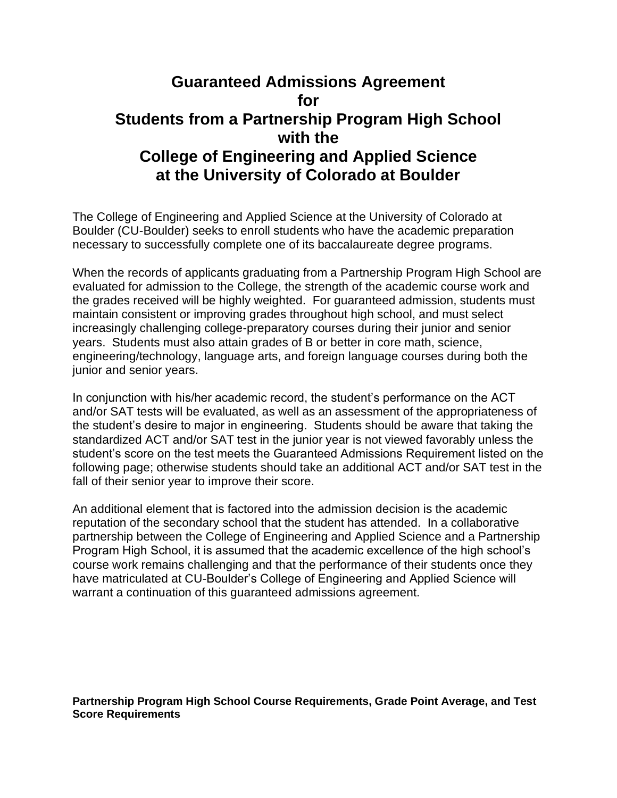## **Guaranteed Admissions Agreement for Students from a Partnership Program High School with the College of Engineering and Applied Science at the University of Colorado at Boulder**

The College of Engineering and Applied Science at the University of Colorado at Boulder (CU-Boulder) seeks to enroll students who have the academic preparation necessary to successfully complete one of its baccalaureate degree programs.

When the records of applicants graduating from a Partnership Program High School are evaluated for admission to the College, the strength of the academic course work and the grades received will be highly weighted. For guaranteed admission, students must maintain consistent or improving grades throughout high school, and must select increasingly challenging college-preparatory courses during their junior and senior years. Students must also attain grades of B or better in core math, science, engineering/technology, language arts, and foreign language courses during both the junior and senior years.

In conjunction with his/her academic record, the student's performance on the ACT and/or SAT tests will be evaluated, as well as an assessment of the appropriateness of the student's desire to major in engineering. Students should be aware that taking the standardized ACT and/or SAT test in the junior year is not viewed favorably unless the student's score on the test meets the Guaranteed Admissions Requirement listed on the following page; otherwise students should take an additional ACT and/or SAT test in the fall of their senior year to improve their score.

An additional element that is factored into the admission decision is the academic reputation of the secondary school that the student has attended. In a collaborative partnership between the College of Engineering and Applied Science and a Partnership Program High School, it is assumed that the academic excellence of the high school's course work remains challenging and that the performance of their students once they have matriculated at CU-Boulder's College of Engineering and Applied Science will warrant a continuation of this guaranteed admissions agreement.

**Partnership Program High School Course Requirements, Grade Point Average, and Test Score Requirements**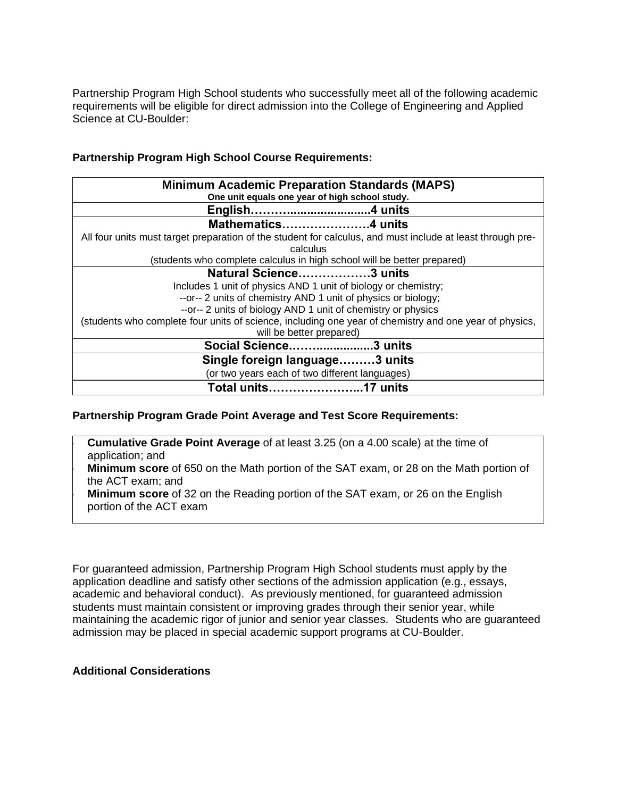Partnership Program High School students who successfully meet all of the following academic requirements will be eligible for direct admission into the College of Engineering and Applied Science at CU-Boulder:

## **Partnership Program High School Course Requirements:**

| <b>Minimum Academic Preparation Standards (MAPS)</b><br>One unit equals one year of high school study.     |
|------------------------------------------------------------------------------------------------------------|
| English4 units                                                                                             |
| Mathematics4 units                                                                                         |
| All four units must target preparation of the student for calculus, and must include at least through pre- |
| calculus                                                                                                   |
| (students who complete calculus in high school will be better prepared)                                    |
| Natural Science3 units                                                                                     |
| Includes 1 unit of physics AND 1 unit of biology or chemistry;                                             |
| --or-- 2 units of chemistry AND 1 unit of physics or biology;                                              |
| -- or-- 2 units of biology AND 1 unit of chemistry or physics                                              |
| (students who complete four units of science, including one year of chemistry and one year of physics,     |
| will be better prepared)                                                                                   |
| Social Science3 units                                                                                      |
| Single foreign language3 units                                                                             |
| (or two years each of two different languages)                                                             |
| Total units…………………<br>.17 units                                                                            |

## **Partnership Program Grade Point Average and Test Score Requirements:**

• **Cumulative Grade Point Average** of at least 3.25 (on a 4.00 scale) at the time of application; and • **Minimum score** of 650 on the Math portion of the SAT exam, or 28 on the Math portion of the ACT exam; and • **Minimum score** of 32 on the Reading portion of the SAT exam, or 26 on the English portion of the ACT exam

For guaranteed admission, Partnership Program High School students must apply by the application deadline and satisfy other sections of the admission application (e.g., essays, academic and behavioral conduct). As previously mentioned, for guaranteed admission students must maintain consistent or improving grades through their senior year, while maintaining the academic rigor of junior and senior year classes. Students who are guaranteed admission may be placed in special academic support programs at CU-Boulder.

## **Additional Considerations**